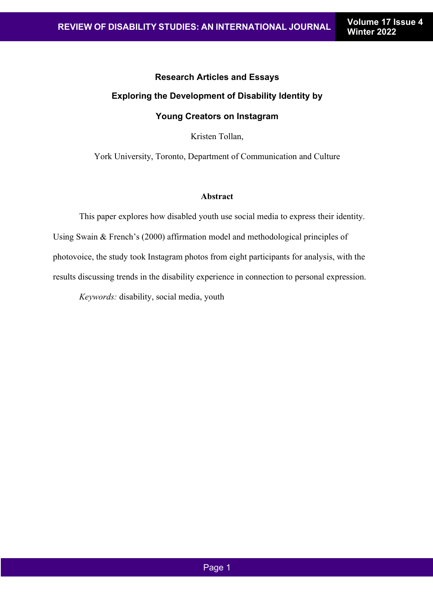# **Research Articles and Essays Exploring the Development of Disability Identity by Young Creators on Instagram**

Kristen Tollan,

York University, Toronto, Department of Communication and Culture

#### **Abstract**

This paper explores how disabled youth use social media to express their identity. Using Swain & French's (2000) affirmation model and methodological principles of photovoice, the study took Instagram photos from eight participants for analysis, with the results discussing trends in the disability experience in connection to personal expression.

*Keywords:* disability, social media, youth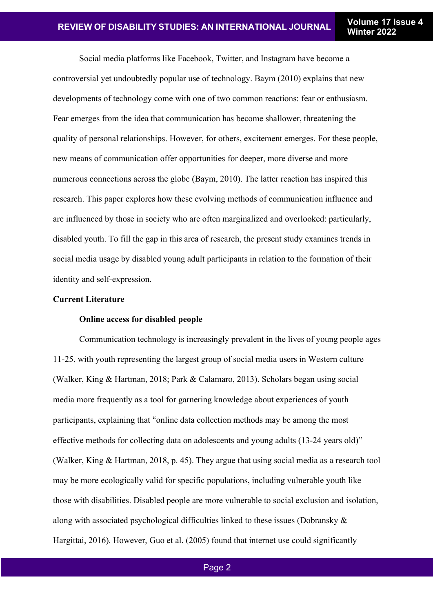Social media platforms like Facebook, Twitter, and Instagram have become a controversial yet undoubtedly popular use of technology. Baym (2010) explains that new developments of technology come with one of two common reactions: fear or enthusiasm. Fear emerges from the idea that communication has become shallower, threatening the quality of personal relationships. However, for others, excitement emerges. For these people, new means of communication offer opportunities for deeper, more diverse and more numerous connections across the globe (Baym, 2010). The latter reaction has inspired this research. This paper explores how these evolving methods of communication influence and are influenced by those in society who are often marginalized and overlooked: particularly, disabled youth. To fill the gap in this area of research, the present study examines trends in social media usage by disabled young adult participants in relation to the formation of their identity and self-expression.

# **Current Literature**

# **Online access for disabled people**

Communication technology is increasingly prevalent in the lives of young people ages 11-25, with youth representing the largest group of social media users in Western culture (Walker, King & Hartman, 2018; Park & Calamaro, 2013). Scholars began using social media more frequently as a tool for garnering knowledge about experiences of youth participants, explaining that "online data collection methods may be among the most effective methods for collecting data on adolescents and young adults (13-24 years old)" (Walker, King & Hartman, 2018, p. 45). They argue that using social media as a research tool may be more ecologically valid for specific populations, including vulnerable youth like those with disabilities. Disabled people are more vulnerable to social exclusion and isolation, along with associated psychological difficulties linked to these issues (Dobransky & Hargittai, 2016). However, Guo et al. (2005) found that internet use could significantly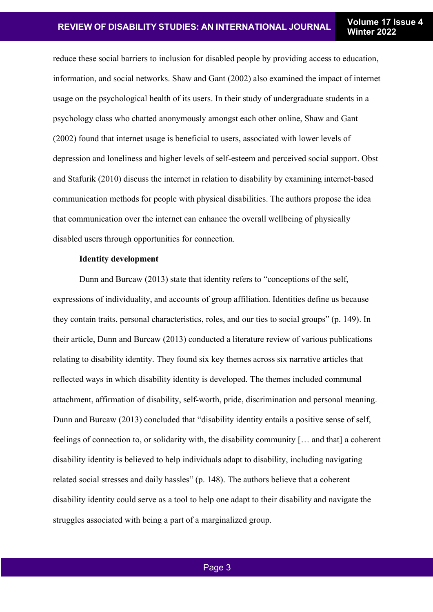reduce these social barriers to inclusion for disabled people by providing access to education, information, and social networks. Shaw and Gant (2002) also examined the impact of internet usage on the psychological health of its users. In their study of undergraduate students in a psychology class who chatted anonymously amongst each other online, Shaw and Gant (2002) found that internet usage is beneficial to users, associated with lower levels of depression and loneliness and higher levels of self-esteem and perceived social support. Obst and Stafurik (2010) discuss the internet in relation to disability by examining internet-based communication methods for people with physical disabilities. The authors propose the idea that communication over the internet can enhance the overall wellbeing of physically disabled users through opportunities for connection.

## **Identity development**

Dunn and Burcaw (2013) state that identity refers to "conceptions of the self, expressions of individuality, and accounts of group affiliation. Identities define us because they contain traits, personal characteristics, roles, and our ties to social groups" (p. 149). In their article, Dunn and Burcaw (2013) conducted a literature review of various publications relating to disability identity. They found six key themes across six narrative articles that reflected ways in which disability identity is developed. The themes included communal attachment, affirmation of disability, self-worth, pride, discrimination and personal meaning. Dunn and Burcaw (2013) concluded that "disability identity entails a positive sense of self, feelings of connection to, or solidarity with, the disability community [… and that] a coherent disability identity is believed to help individuals adapt to disability, including navigating related social stresses and daily hassles" (p. 148). The authors believe that a coherent disability identity could serve as a tool to help one adapt to their disability and navigate the struggles associated with being a part of a marginalized group.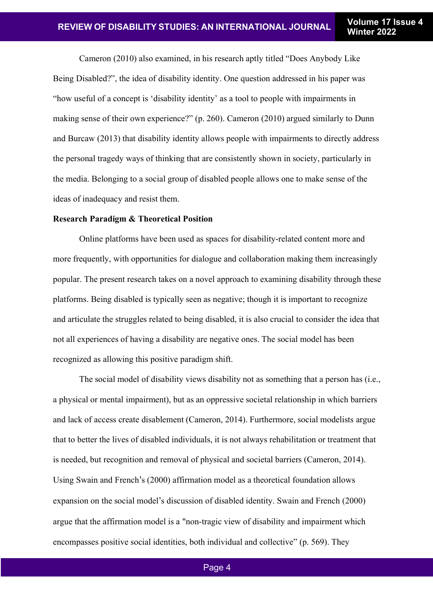Cameron (2010) also examined, in his research aptly titled "Does Anybody Like Being Disabled?", the idea of disability identity. One question addressed in his paper was "how useful of a concept is 'disability identity' as a tool to people with impairments in making sense of their own experience?" (p. 260). Cameron (2010) argued similarly to Dunn and Burcaw (2013) that disability identity allows people with impairments to directly address the personal tragedy ways of thinking that are consistently shown in society, particularly in the media. Belonging to a social group of disabled people allows one to make sense of the ideas of inadequacy and resist them.

## **Research Paradigm & Theoretical Position**

Online platforms have been used as spaces for disability-related content more and more frequently, with opportunities for dialogue and collaboration making them increasingly popular. The present research takes on a novel approach to examining disability through these platforms. Being disabled is typically seen as negative; though it is important to recognize and articulate the struggles related to being disabled, it is also crucial to consider the idea that not all experiences of having a disability are negative ones. The social model has been recognized as allowing this positive paradigm shift.

The social model of disability views disability not as something that a person has (i.e., a physical or mental impairment), but as an oppressive societal relationship in which barriers and lack of access create disablement (Cameron, 2014). Furthermore, social modelists argue that to better the lives of disabled individuals, it is not always rehabilitation or treatment that is needed, but recognition and removal of physical and societal barriers (Cameron, 2014). Using Swain and French's (2000) affirmation model as a theoretical foundation allows expansion on the social model's discussion of disabled identity. Swain and French (2000) argue that the affirmation model is a "non-tragic view of disability and impairment which encompasses positive social identities, both individual and collective" (p. 569). They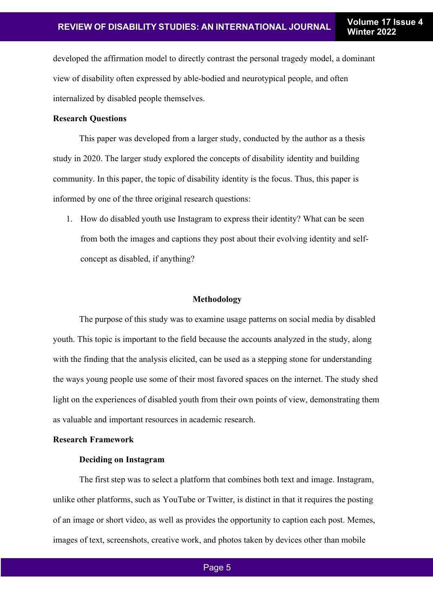developed the affirmation model to directly contrast the personal tragedy model, a dominant view of disability often expressed by able-bodied and neurotypical people, and often internalized by disabled people themselves.

## **Research Questions**

This paper was developed from a larger study, conducted by the author as a thesis study in 2020. The larger study explored the concepts of disability identity and building community. In this paper, the topic of disability identity is the focus. Thus, this paper is informed by one of the three original research questions:

1. How do disabled youth use Instagram to express their identity? What can be seen from both the images and captions they post about their evolving identity and selfconcept as disabled, if anything?

#### **Methodology**

The purpose of this study was to examine usage patterns on social media by disabled youth. This topic is important to the field because the accounts analyzed in the study, along with the finding that the analysis elicited, can be used as a stepping stone for understanding the ways young people use some of their most favored spaces on the internet. The study shed light on the experiences of disabled youth from their own points of view, demonstrating them as valuable and important resources in academic research.

#### **Research Framework**

#### **Deciding on Instagram**

The first step was to select a platform that combines both text and image. Instagram, unlike other platforms, such as YouTube or Twitter, is distinct in that it requires the posting of an image or short video, as well as provides the opportunity to caption each post. Memes, images of text, screenshots, creative work, and photos taken by devices other than mobile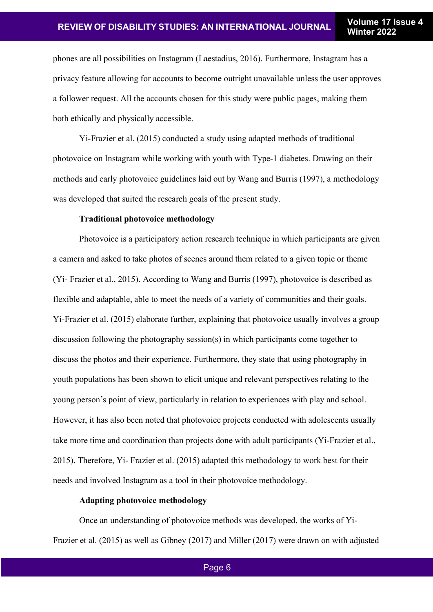phones are all possibilities on Instagram (Laestadius, 2016). Furthermore, Instagram has a privacy feature allowing for accounts to become outright unavailable unless the user approves a follower request. All the accounts chosen for this study were public pages, making them both ethically and physically accessible.

Yi-Frazier et al. (2015) conducted a study using adapted methods of traditional photovoice on Instagram while working with youth with Type-1 diabetes. Drawing on their methods and early photovoice guidelines laid out by Wang and Burris (1997), a methodology was developed that suited the research goals of the present study.

# **Traditional photovoice methodology**

Photovoice is a participatory action research technique in which participants are given a camera and asked to take photos of scenes around them related to a given topic or theme (Yi- Frazier et al., 2015). According to Wang and Burris (1997), photovoice is described as flexible and adaptable, able to meet the needs of a variety of communities and their goals. Yi-Frazier et al. (2015) elaborate further, explaining that photovoice usually involves a group discussion following the photography session(s) in which participants come together to discuss the photos and their experience. Furthermore, they state that using photography in youth populations has been shown to elicit unique and relevant perspectives relating to the young person's point of view, particularly in relation to experiences with play and school. However, it has also been noted that photovoice projects conducted with adolescents usually take more time and coordination than projects done with adult participants (Yi-Frazier et al., 2015). Therefore, Yi- Frazier et al. (2015) adapted this methodology to work best for their needs and involved Instagram as a tool in their photovoice methodology.

# **Adapting photovoice methodology**

Once an understanding of photovoice methods was developed, the works of Yi-Frazier et al. (2015) as well as Gibney (2017) and Miller (2017) were drawn on with adjusted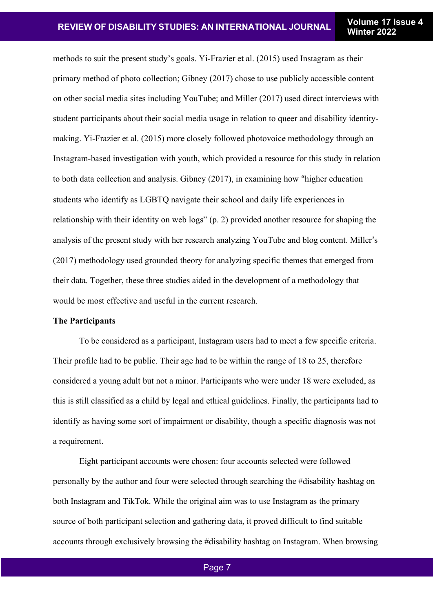methods to suit the present study's goals. Yi-Frazier et al. (2015) used Instagram as their primary method of photo collection; Gibney (2017) chose to use publicly accessible content on other social media sites including YouTube; and Miller (2017) used direct interviews with student participants about their social media usage in relation to queer and disability identitymaking. Yi-Frazier et al. (2015) more closely followed photovoice methodology through an Instagram-based investigation with youth, which provided a resource for this study in relation to both data collection and analysis. Gibney (2017), in examining how "higher education students who identify as LGBTQ navigate their school and daily life experiences in relationship with their identity on web logs" (p. 2) provided another resource for shaping the analysis of the present study with her research analyzing YouTube and blog content. Miller's (2017) methodology used grounded theory for analyzing specific themes that emerged from their data. Together, these three studies aided in the development of a methodology that would be most effective and useful in the current research.

#### **The Participants**

To be considered as a participant, Instagram users had to meet a few specific criteria. Their profile had to be public. Their age had to be within the range of 18 to 25, therefore considered a young adult but not a minor. Participants who were under 18 were excluded, as this is still classified as a child by legal and ethical guidelines. Finally, the participants had to identify as having some sort of impairment or disability, though a specific diagnosis was not a requirement.

Eight participant accounts were chosen: four accounts selected were followed personally by the author and four were selected through searching the #disability hashtag on both Instagram and TikTok. While the original aim was to use Instagram as the primary source of both participant selection and gathering data, it proved difficult to find suitable accounts through exclusively browsing the #disability hashtag on Instagram. When browsing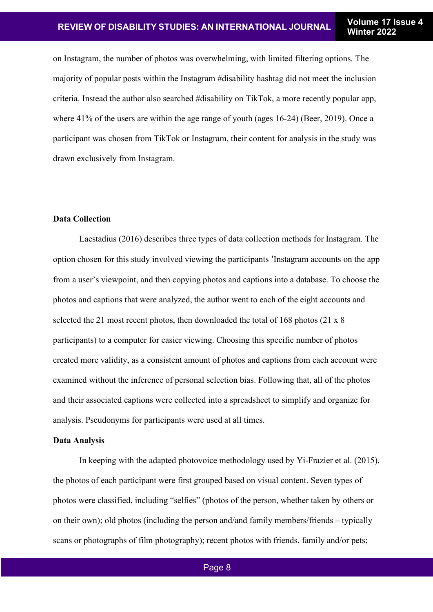on Instagram, the number of photos was overwhelming, with limited filtering options. The majority of popular posts within the Instagram #disability hashtag did not meet the inclusion criteria. Instead the author also searched #disability on TikTok, a more recently popular app, where 41% of the users are within the age range of youth (ages 16-24) (Beer, 2019). Once a participant was chosen from TikTok or Instagram, their content for analysis in the study was drawn exclusively from Instagram.

# **Data Collection**

Laestadius (2016) describes three types of data collection methods for Instagram. The option chosen for this study involved viewing the participants 'Instagram accounts on the app from a user's viewpoint, and then copying photos and captions into a database. To choose the photos and captions that were analyzed, the author went to each of the eight accounts and selected the 21 most recent photos, then downloaded the total of 168 photos (21 x 8 participants) to a computer for easier viewing. Choosing this specific number of photos created more validity, as a consistent amount of photos and captions from each account were examined without the inference of personal selection bias. Following that, all of the photos and their associated captions were collected into a spreadsheet to simplify and organize for analysis. Pseudonyms for participants were used at all times.

#### **Data Analysis**

In keeping with the adapted photovoice methodology used by Yi-Frazier et al. (2015), the photos of each participant were first grouped based on visual content. Seven types of photos were classified, including "selfies" (photos of the person, whether taken by others or on their own); old photos (including the person and/and family members/friends – typically scans or photographs of film photography); recent photos with friends, family and/or pets;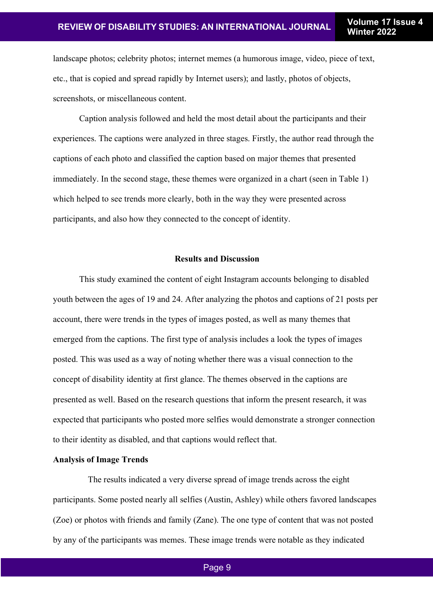landscape photos; celebrity photos; internet memes (a humorous image, video, piece of text, etc., that is copied and spread rapidly by Internet users); and lastly, photos of objects, screenshots, or miscellaneous content.

Caption analysis followed and held the most detail about the participants and their experiences. The captions were analyzed in three stages. Firstly, the author read through the captions of each photo and classified the caption based on major themes that presented immediately. In the second stage, these themes were organized in a chart (seen in Table 1) which helped to see trends more clearly, both in the way they were presented across participants, and also how they connected to the concept of identity.

#### **Results and Discussion**

This study examined the content of eight Instagram accounts belonging to disabled youth between the ages of 19 and 24. After analyzing the photos and captions of 21 posts per account, there were trends in the types of images posted, as well as many themes that emerged from the captions. The first type of analysis includes a look the types of images posted. This was used as a way of noting whether there was a visual connection to the concept of disability identity at first glance. The themes observed in the captions are presented as well. Based on the research questions that inform the present research, it was expected that participants who posted more selfies would demonstrate a stronger connection to their identity as disabled, and that captions would reflect that.

## **Analysis of Image Trends**

The results indicated a very diverse spread of image trends across the eight participants. Some posted nearly all selfies (Austin, Ashley) while others favored landscapes (Zoe) or photos with friends and family (Zane). The one type of content that was not posted by any of the participants was memes. These image trends were notable as they indicated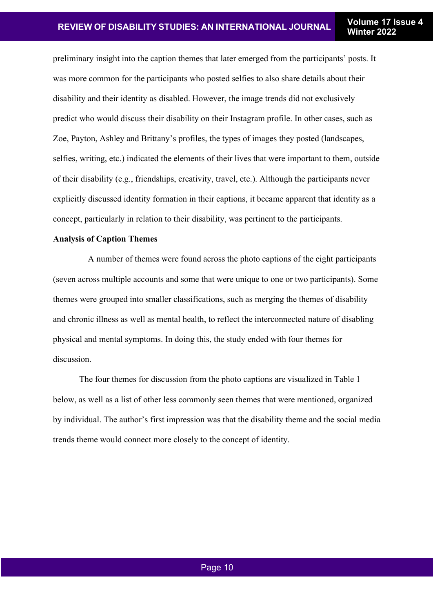preliminary insight into the caption themes that later emerged from the participants' posts. It was more common for the participants who posted selfies to also share details about their disability and their identity as disabled. However, the image trends did not exclusively predict who would discuss their disability on their Instagram profile. In other cases, such as Zoe, Payton, Ashley and Brittany's profiles, the types of images they posted (landscapes, selfies, writing, etc.) indicated the elements of their lives that were important to them, outside of their disability (e.g., friendships, creativity, travel, etc.). Although the participants never explicitly discussed identity formation in their captions, it became apparent that identity as a concept, particularly in relation to their disability, was pertinent to the participants.

# **Analysis of Caption Themes**

A number of themes were found across the photo captions of the eight participants (seven across multiple accounts and some that were unique to one or two participants). Some themes were grouped into smaller classifications, such as merging the themes of disability and chronic illness as well as mental health, to reflect the interconnected nature of disabling physical and mental symptoms. In doing this, the study ended with four themes for discussion.

The four themes for discussion from the photo captions are visualized in Table 1 below, as well as a list of other less commonly seen themes that were mentioned, organized by individual. The author's first impression was that the disability theme and the social media trends theme would connect more closely to the concept of identity.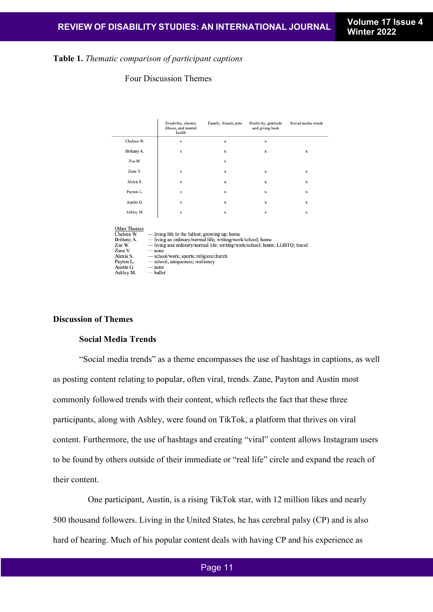## **Table 1.** *Thematic comparison of participant captions*

## Four Discussion Themes

|                                                                                                                    | Disability, chronic<br>illness, and mental<br>health                                                                                                                                                                                                                                                         | Family, friends, pets | Positivity, gratitude<br>and giving back | Social media trends |
|--------------------------------------------------------------------------------------------------------------------|--------------------------------------------------------------------------------------------------------------------------------------------------------------------------------------------------------------------------------------------------------------------------------------------------------------|-----------------------|------------------------------------------|---------------------|
| Chelsea W.                                                                                                         | $\mathbf x$                                                                                                                                                                                                                                                                                                  | x                     | $\mathbf x$                              |                     |
| Brittany A.                                                                                                        | $\mathbf x$                                                                                                                                                                                                                                                                                                  | $\mathbf x$           | $\mathbf{x}$                             | $\mathbf x$         |
| Zoe W.                                                                                                             |                                                                                                                                                                                                                                                                                                              | $\mathbf x$           |                                          |                     |
| Zane V.                                                                                                            | $\mathbf x$                                                                                                                                                                                                                                                                                                  | $\mathbf x$           | $\mathbf x$                              | $\mathbf x$         |
| Alexis S.                                                                                                          | $\mathbf x$                                                                                                                                                                                                                                                                                                  | $\mathbf x$           | $\mathbf{x}$                             | $\mathbf x$         |
| Payton L.                                                                                                          | $\mathbf x$                                                                                                                                                                                                                                                                                                  | $\mathbf x$           | x                                        | $\mathbf x$         |
| Austin G.                                                                                                          | $\mathbf x$                                                                                                                                                                                                                                                                                                  | $\mathbf x$           | $\mathbf x$                              | $\mathbf x$         |
| Ashley M.                                                                                                          | $\mathbf x$                                                                                                                                                                                                                                                                                                  | $\mathbf x$           | x                                        | $\mathbf x$         |
| Other Themes<br>Chelsea W.<br>Brittany A.<br>Zoe W.<br>Zane V.<br>Alexis S.<br>Payton L.<br>Austin G.<br>Ashley M. | — living life to the fullest; growing up; home<br>-living an ordinary/normal life; writing/work/school; home<br>-living and ordinary/normal life; writing/work/school; home; LGBTQ; travel<br>$-$ none<br>- school/work; sports; religion/church<br>- school; uniqueness; resiliency<br>$-$ none<br>— ballet |                       |                                          |                     |

## **Discussion of Themes**

#### **Social Media Trends**

"Social media trends" as a theme encompasses the use of hashtags in captions, as well as posting content relating to popular, often viral, trends. Zane, Payton and Austin most commonly followed trends with their content, which reflects the fact that these three participants, along with Ashley, were found on TikTok, a platform that thrives on viral content. Furthermore, the use of hashtags and creating "viral" content allows Instagram users to be found by others outside of their immediate or "real life" circle and expand the reach of their content.

One participant, Austin, is a rising TikTok star, with 12 million likes and nearly 500 thousand followers. Living in the United States, he has cerebral palsy (CP) and is also hard of hearing. Much of his popular content deals with having CP and his experience as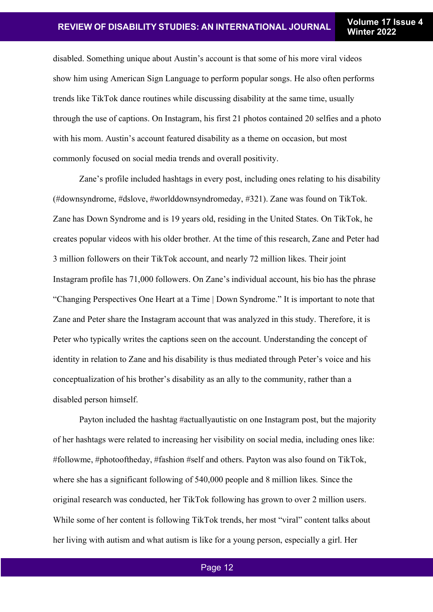disabled. Something unique about Austin's account is that some of his more viral videos show him using American Sign Language to perform popular songs. He also often performs trends like TikTok dance routines while discussing disability at the same time, usually through the use of captions. On Instagram, his first 21 photos contained 20 selfies and a photo with his mom. Austin's account featured disability as a theme on occasion, but most commonly focused on social media trends and overall positivity.

Zane's profile included hashtags in every post, including ones relating to his disability (#downsyndrome, #dslove, #worlddownsyndromeday, #321). Zane was found on TikTok. Zane has Down Syndrome and is 19 years old, residing in the United States. On TikTok, he creates popular videos with his older brother. At the time of this research, Zane and Peter had 3 million followers on their TikTok account, and nearly 72 million likes. Their joint Instagram profile has 71,000 followers. On Zane's individual account, his bio has the phrase "Changing Perspectives One Heart at a Time | Down Syndrome." It is important to note that Zane and Peter share the Instagram account that was analyzed in this study. Therefore, it is Peter who typically writes the captions seen on the account. Understanding the concept of identity in relation to Zane and his disability is thus mediated through Peter's voice and his conceptualization of his brother's disability as an ally to the community, rather than a disabled person himself.

Payton included the hashtag #actuallyautistic on one Instagram post, but the majority of her hashtags were related to increasing her visibility on social media, including ones like: #followme, #photooftheday, #fashion #self and others. Payton was also found on TikTok, where she has a significant following of 540,000 people and 8 million likes. Since the original research was conducted, her TikTok following has grown to over 2 million users. While some of her content is following TikTok trends, her most "viral" content talks about her living with autism and what autism is like for a young person, especially a girl. Her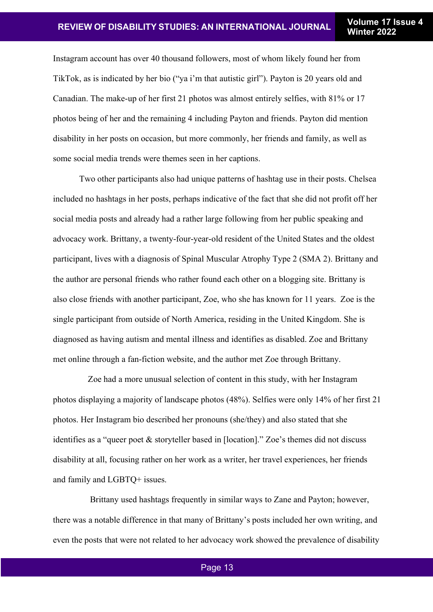Instagram account has over 40 thousand followers, most of whom likely found her from TikTok, as is indicated by her bio ("ya i'm that autistic girl"). Payton is 20 years old and Canadian. The make-up of her first 21 photos was almost entirely selfies, with 81% or 17 photos being of her and the remaining 4 including Payton and friends. Payton did mention disability in her posts on occasion, but more commonly, her friends and family, as well as some social media trends were themes seen in her captions.

Two other participants also had unique patterns of hashtag use in their posts. Chelsea included no hashtags in her posts, perhaps indicative of the fact that she did not profit off her social media posts and already had a rather large following from her public speaking and advocacy work. Brittany, a twenty-four-year-old resident of the United States and the oldest participant, lives with a diagnosis of Spinal Muscular Atrophy Type 2 (SMA 2). Brittany and the author are personal friends who rather found each other on a blogging site. Brittany is also close friends with another participant, Zoe, who she has known for 11 years. Zoe is the single participant from outside of North America, residing in the United Kingdom. She is diagnosed as having autism and mental illness and identifies as disabled. Zoe and Brittany met online through a fan-fiction website, and the author met Zoe through Brittany.

Zoe had a more unusual selection of content in this study, with her Instagram photos displaying a majority of landscape photos (48%). Selfies were only 14% of her first 21 photos. Her Instagram bio described her pronouns (she/they) and also stated that she identifies as a "queer poet & storyteller based in [location]." Zoe's themes did not discuss disability at all, focusing rather on her work as a writer, her travel experiences, her friends and family and LGBTQ+ issues.

Brittany used hashtags frequently in similar ways to Zane and Payton; however, there was a notable difference in that many of Brittany's posts included her own writing, and even the posts that were not related to her advocacy work showed the prevalence of disability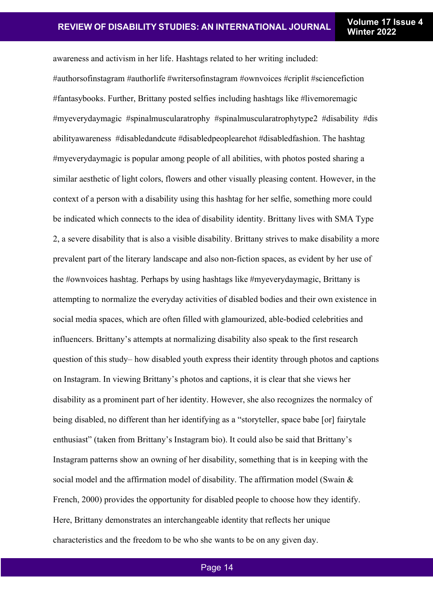awareness and activism in her life. Hashtags related to her writing included: #authorsofinstagram #authorlife #writersofinstagram #ownvoices #criplit #sciencefiction #fantasybooks. Further, Brittany posted selfies including hashtags like #livemoremagic #myeverydaymagic #spinalmuscularatrophy #spinalmuscularatrophytype2 #disability #dis abilityawareness #disabledandcute #disabledpeoplearehot #disabledfashion. The hashtag #myeverydaymagic is popular among people of all abilities, with photos posted sharing a similar aesthetic of light colors, flowers and other visually pleasing content. However, in the context of a person with a disability using this hashtag for her selfie, something more could be indicated which connects to the idea of disability identity. Brittany lives with SMA Type 2, a severe disability that is also a visible disability. Brittany strives to make disability a more prevalent part of the literary landscape and also non-fiction spaces, as evident by her use of the #ownvoices hashtag. Perhaps by using hashtags like #myeverydaymagic, Brittany is attempting to normalize the everyday activities of disabled bodies and their own existence in social media spaces, which are often filled with glamourized, able-bodied celebrities and influencers. Brittany's attempts at normalizing disability also speak to the first research question of this study– how disabled youth express their identity through photos and captions on Instagram. In viewing Brittany's photos and captions, it is clear that she views her disability as a prominent part of her identity. However, she also recognizes the normalcy of being disabled, no different than her identifying as a "storyteller, space babe [or] fairytale enthusiast" (taken from Brittany's Instagram bio). It could also be said that Brittany's Instagram patterns show an owning of her disability, something that is in keeping with the social model and the affirmation model of disability. The affirmation model (Swain & French, 2000) provides the opportunity for disabled people to choose how they identify. Here, Brittany demonstrates an interchangeable identity that reflects her unique characteristics and the freedom to be who she wants to be on any given day.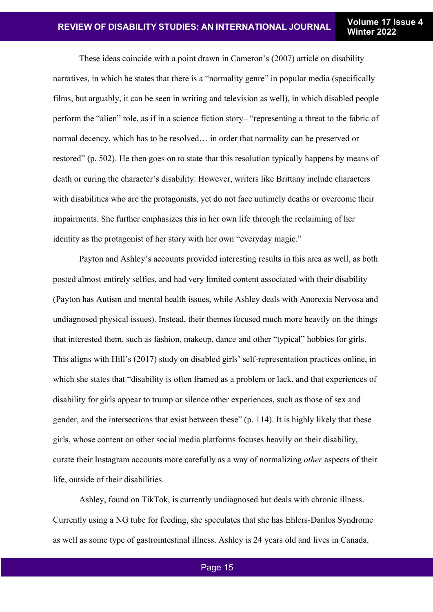These ideas coincide with a point drawn in Cameron's (2007) article on disability narratives, in which he states that there is a "normality genre" in popular media (specifically films, but arguably, it can be seen in writing and television as well), in which disabled people perform the "alien" role, as if in a science fiction story– "representing a threat to the fabric of normal decency, which has to be resolved… in order that normality can be preserved or restored" (p. 502). He then goes on to state that this resolution typically happens by means of death or curing the character's disability. However, writers like Brittany include characters with disabilities who are the protagonists, yet do not face untimely deaths or overcome their impairments. She further emphasizes this in her own life through the reclaiming of her identity as the protagonist of her story with her own "everyday magic."

Payton and Ashley's accounts provided interesting results in this area as well, as both posted almost entirely selfies, and had very limited content associated with their disability (Payton has Autism and mental health issues, while Ashley deals with Anorexia Nervosa and undiagnosed physical issues). Instead, their themes focused much more heavily on the things that interested them, such as fashion, makeup, dance and other "typical" hobbies for girls. This aligns with Hill's (2017) study on disabled girls' self-representation practices online, in which she states that "disability is often framed as a problem or lack, and that experiences of disability for girls appear to trump or silence other experiences, such as those of sex and gender, and the intersections that exist between these" (p. 114). It is highly likely that these girls, whose content on other social media platforms focuses heavily on their disability, curate their Instagram accounts more carefully as a way of normalizing *other* aspects of their life, outside of their disabilities.

Ashley, found on TikTok, is currently undiagnosed but deals with chronic illness. Currently using a NG tube for feeding, she speculates that she has Ehlers-Danlos Syndrome as well as some type of gastrointestinal illness. Ashley is 24 years old and lives in Canada.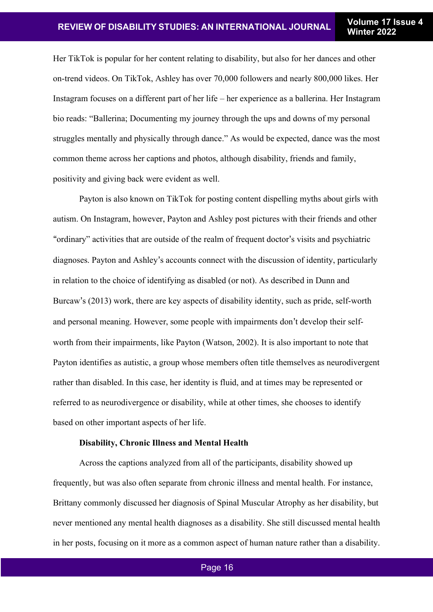Her TikTok is popular for her content relating to disability, but also for her dances and other on-trend videos. On TikTok, Ashley has over 70,000 followers and nearly 800,000 likes. Her Instagram focuses on a different part of her life – her experience as a ballerina. Her Instagram bio reads: "Ballerina; Documenting my journey through the ups and downs of my personal struggles mentally and physically through dance." As would be expected, dance was the most common theme across her captions and photos, although disability, friends and family, positivity and giving back were evident as well.

Payton is also known on TikTok for posting content dispelling myths about girls with autism. On Instagram, however, Payton and Ashley post pictures with their friends and other "ordinary" activities that are outside of the realm of frequent doctor's visits and psychiatric diagnoses. Payton and Ashley's accounts connect with the discussion of identity, particularly in relation to the choice of identifying as disabled (or not). As described in Dunn and Burcaw's (2013) work, there are key aspects of disability identity, such as pride, self-worth and personal meaning. However, some people with impairments don't develop their selfworth from their impairments, like Payton (Watson, 2002). It is also important to note that Payton identifies as autistic, a group whose members often title themselves as neurodivergent rather than disabled. In this case, her identity is fluid, and at times may be represented or referred to as neurodivergence or disability, while at other times, she chooses to identify based on other important aspects of her life.

#### **Disability, Chronic Illness and Mental Health**

Across the captions analyzed from all of the participants, disability showed up frequently, but was also often separate from chronic illness and mental health. For instance, Brittany commonly discussed her diagnosis of Spinal Muscular Atrophy as her disability, but never mentioned any mental health diagnoses as a disability. She still discussed mental health in her posts, focusing on it more as a common aspect of human nature rather than a disability.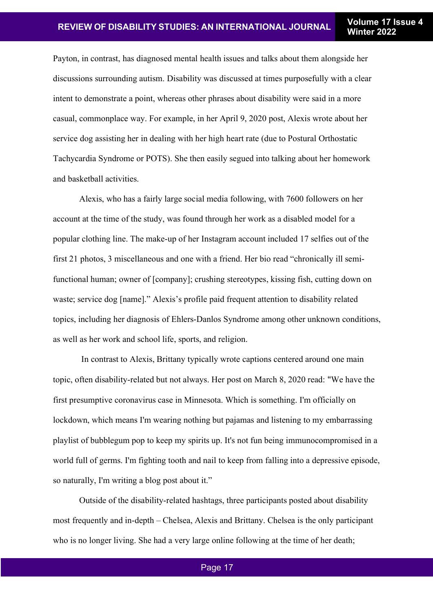Payton, in contrast, has diagnosed mental health issues and talks about them alongside her discussions surrounding autism. Disability was discussed at times purposefully with a clear intent to demonstrate a point, whereas other phrases about disability were said in a more casual, commonplace way. For example, in her April 9, 2020 post, Alexis wrote about her service dog assisting her in dealing with her high heart rate (due to Postural Orthostatic Tachycardia Syndrome or POTS). She then easily segued into talking about her homework and basketball activities.

Alexis, who has a fairly large social media following, with 7600 followers on her account at the time of the study, was found through her work as a disabled model for a popular clothing line. The make-up of her Instagram account included 17 selfies out of the first 21 photos, 3 miscellaneous and one with a friend. Her bio read "chronically ill semifunctional human; owner of [company]; crushing stereotypes, kissing fish, cutting down on waste; service dog [name]." Alexis's profile paid frequent attention to disability related topics, including her diagnosis of Ehlers-Danlos Syndrome among other unknown conditions, as well as her work and school life, sports, and religion.

In contrast to Alexis, Brittany typically wrote captions centered around one main topic, often disability-related but not always. Her post on March 8, 2020 read: "We have the first presumptive coronavirus case in Minnesota. Which is something. I'm officially on lockdown, which means I'm wearing nothing but pajamas and listening to my embarrassing playlist of bubblegum pop to keep my spirits up. It's not fun being immunocompromised in a world full of germs. I'm fighting tooth and nail to keep from falling into a depressive episode, so naturally, I'm writing a blog post about it."

Outside of the disability-related hashtags, three participants posted about disability most frequently and in-depth – Chelsea, Alexis and Brittany. Chelsea is the only participant who is no longer living. She had a very large online following at the time of her death;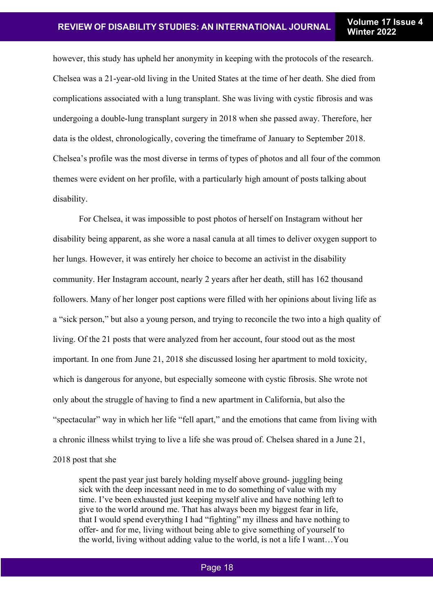however, this study has upheld her anonymity in keeping with the protocols of the research. Chelsea was a 21-year-old living in the United States at the time of her death. She died from complications associated with a lung transplant. She was living with cystic fibrosis and was undergoing a double-lung transplant surgery in 2018 when she passed away. Therefore, her data is the oldest, chronologically, covering the timeframe of January to September 2018. Chelsea's profile was the most diverse in terms of types of photos and all four of the common themes were evident on her profile, with a particularly high amount of posts talking about disability.

For Chelsea, it was impossible to post photos of herself on Instagram without her disability being apparent, as she wore a nasal canula at all times to deliver oxygen support to her lungs. However, it was entirely her choice to become an activist in the disability community. Her Instagram account, nearly 2 years after her death, still has 162 thousand followers. Many of her longer post captions were filled with her opinions about living life as a "sick person," but also a young person, and trying to reconcile the two into a high quality of living. Of the 21 posts that were analyzed from her account, four stood out as the most important. In one from June 21, 2018 she discussed losing her apartment to mold toxicity, which is dangerous for anyone, but especially someone with cystic fibrosis. She wrote not only about the struggle of having to find a new apartment in California, but also the "spectacular" way in which her life "fell apart," and the emotions that came from living with a chronic illness whilst trying to live a life she was proud of. Chelsea shared in a June 21,

2018 post that she

spent the past year just barely holding myself above ground- juggling being sick with the deep incessant need in me to do something of value with my time. I've been exhausted just keeping myself alive and have nothing left to give to the world around me. That has always been my biggest fear in life, that I would spend everything I had "fighting" my illness and have nothing to offer- and for me, living without being able to give something of yourself to the world, living without adding value to the world, is not a life I want…You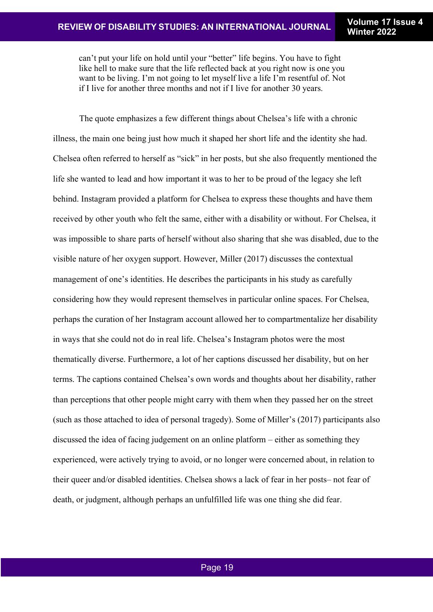can't put your life on hold until your "better" life begins. You have to fight like hell to make sure that the life reflected back at you right now is one you want to be living. I'm not going to let myself live a life I'm resentful of. Not if I live for another three months and not if I live for another 30 years.

The quote emphasizes a few different things about Chelsea's life with a chronic illness, the main one being just how much it shaped her short life and the identity she had. Chelsea often referred to herself as "sick" in her posts, but she also frequently mentioned the life she wanted to lead and how important it was to her to be proud of the legacy she left behind. Instagram provided a platform for Chelsea to express these thoughts and have them received by other youth who felt the same, either with a disability or without. For Chelsea, it was impossible to share parts of herself without also sharing that she was disabled, due to the visible nature of her oxygen support. However, Miller (2017) discusses the contextual management of one's identities. He describes the participants in his study as carefully considering how they would represent themselves in particular online spaces. For Chelsea, perhaps the curation of her Instagram account allowed her to compartmentalize her disability in ways that she could not do in real life. Chelsea's Instagram photos were the most thematically diverse. Furthermore, a lot of her captions discussed her disability, but on her terms. The captions contained Chelsea's own words and thoughts about her disability, rather than perceptions that other people might carry with them when they passed her on the street (such as those attached to idea of personal tragedy). Some of Miller's (2017) participants also discussed the idea of facing judgement on an online platform – either as something they experienced, were actively trying to avoid, or no longer were concerned about, in relation to their queer and/or disabled identities. Chelsea shows a lack of fear in her posts– not fear of death, or judgment, although perhaps an unfulfilled life was one thing she did fear.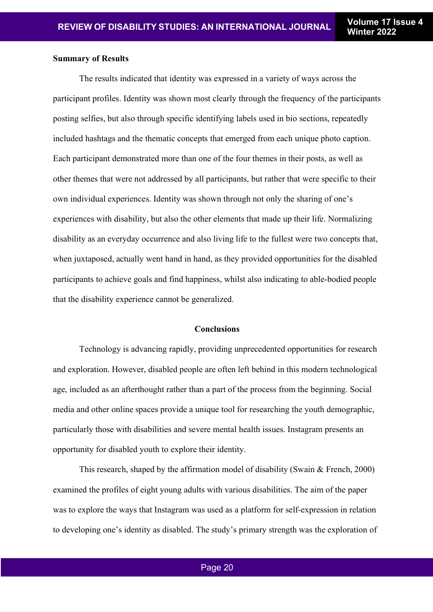#### **Summary of Results**

The results indicated that identity was expressed in a variety of ways across the participant profiles. Identity was shown most clearly through the frequency of the participants posting selfies, but also through specific identifying labels used in bio sections, repeatedly included hashtags and the thematic concepts that emerged from each unique photo caption. Each participant demonstrated more than one of the four themes in their posts, as well as other themes that were not addressed by all participants, but rather that were specific to their own individual experiences. Identity was shown through not only the sharing of one's experiences with disability, but also the other elements that made up their life. Normalizing disability as an everyday occurrence and also living life to the fullest were two concepts that, when juxtaposed, actually went hand in hand, as they provided opportunities for the disabled participants to achieve goals and find happiness, whilst also indicating to able-bodied people that the disability experience cannot be generalized.

#### **Conclusions**

Technology is advancing rapidly, providing unprecedented opportunities for research and exploration. However, disabled people are often left behind in this modern technological age, included as an afterthought rather than a part of the process from the beginning. Social media and other online spaces provide a unique tool for researching the youth demographic, particularly those with disabilities and severe mental health issues. Instagram presents an opportunity for disabled youth to explore their identity.

This research, shaped by the affirmation model of disability (Swain & French, 2000) examined the profiles of eight young adults with various disabilities. The aim of the paper was to explore the ways that Instagram was used as a platform for self-expression in relation to developing one's identity as disabled. The study's primary strength was the exploration of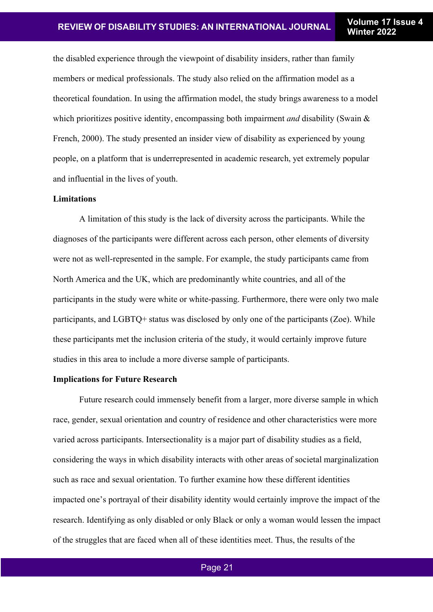the disabled experience through the viewpoint of disability insiders, rather than family members or medical professionals. The study also relied on the affirmation model as a theoretical foundation. In using the affirmation model, the study brings awareness to a model which prioritizes positive identity, encompassing both impairment *and* disability (Swain & French, 2000). The study presented an insider view of disability as experienced by young people, on a platform that is underrepresented in academic research, yet extremely popular and influential in the lives of youth.

#### **Limitations**

A limitation of this study is the lack of diversity across the participants. While the diagnoses of the participants were different across each person, other elements of diversity were not as well-represented in the sample. For example, the study participants came from North America and the UK, which are predominantly white countries, and all of the participants in the study were white or white-passing. Furthermore, there were only two male participants, and LGBTQ+ status was disclosed by only one of the participants (Zoe). While these participants met the inclusion criteria of the study, it would certainly improve future studies in this area to include a more diverse sample of participants.

#### **Implications for Future Research**

Future research could immensely benefit from a larger, more diverse sample in which race, gender, sexual orientation and country of residence and other characteristics were more varied across participants. Intersectionality is a major part of disability studies as a field, considering the ways in which disability interacts with other areas of societal marginalization such as race and sexual orientation. To further examine how these different identities impacted one's portrayal of their disability identity would certainly improve the impact of the research. Identifying as only disabled or only Black or only a woman would lessen the impact of the struggles that are faced when all of these identities meet. Thus, the results of the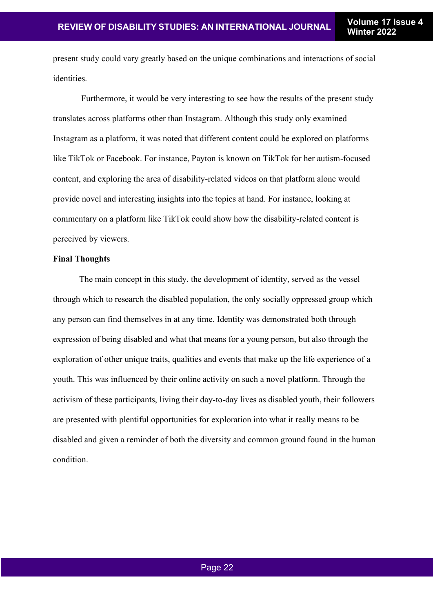present study could vary greatly based on the unique combinations and interactions of social identities.

Furthermore, it would be very interesting to see how the results of the present study translates across platforms other than Instagram. Although this study only examined Instagram as a platform, it was noted that different content could be explored on platforms like TikTok or Facebook. For instance, Payton is known on TikTok for her autism-focused content, and exploring the area of disability-related videos on that platform alone would provide novel and interesting insights into the topics at hand. For instance, looking at commentary on a platform like TikTok could show how the disability-related content is perceived by viewers.

#### **Final Thoughts**

The main concept in this study, the development of identity, served as the vessel through which to research the disabled population, the only socially oppressed group which any person can find themselves in at any time. Identity was demonstrated both through expression of being disabled and what that means for a young person, but also through the exploration of other unique traits, qualities and events that make up the life experience of a youth. This was influenced by their online activity on such a novel platform. Through the activism of these participants, living their day-to-day lives as disabled youth, their followers are presented with plentiful opportunities for exploration into what it really means to be disabled and given a reminder of both the diversity and common ground found in the human condition.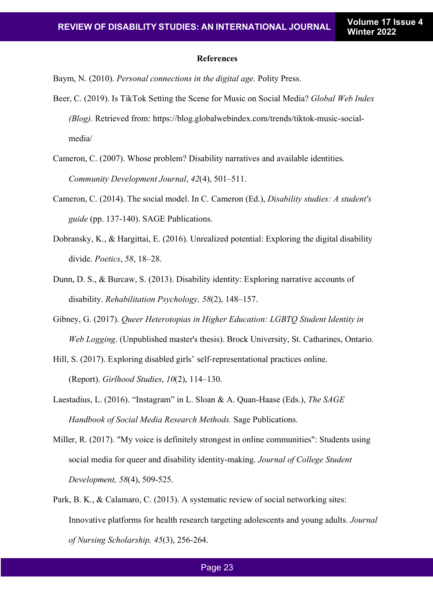#### **References**

Baym, N. (2010). *Personal connections in the digital age.* Polity Press.

- Beer, C. (2019). Is TikTok Setting the Scene for Music on Social Media? *Global Web Index (Blog).* Retrieved from: https://blog.globalwebindex.com/trends/tiktok-music-socialmedia/
- Cameron, C. (2007). Whose problem? Disability narratives and available identities. *Community Development Journal*, *42*(4), 501–511.
- Cameron, C. (2014). The social model. In C. Cameron (Ed.), *Disability studies: A student's guide* (pp. 137-140). SAGE Publications.
- Dobransky, K., & Hargittai, E. (2016). Unrealized potential: Exploring the digital disability divide. *Poetics*, *58*, 18–28.
- Dunn, D. S., & Burcaw, S. (2013). Disability identity: Exploring narrative accounts of disability. *Rehabilitation Psychology, 58*(2), 148–157.
- Gibney, G. (2017). *Queer Heterotopias in Higher Education: LGBTQ Student Identity in Web Logging*. (Unpublished master's thesis). Brock University, St. Catharines, Ontario.
- Hill, S. (2017). Exploring disabled girls' self-representational practices online. (Report). *Girlhood Studies*, *10*(2), 114–130.
- Laestadius, L. (2016). "Instagram" in L. Sloan & A. Quan-Haase (Eds.), *The SAGE Handbook of Social Media Research Methods.* Sage Publications.
- Miller, R. (2017). "My voice is definitely strongest in online communities": Students using social media for queer and disability identity-making. *Journal of College Student Development, 58*(4), 509-525.
- Park, B. K., & Calamaro, C. (2013). A systematic review of social networking sites: Innovative platforms for health research targeting adolescents and young adults. *Journal of Nursing Scholarship, 45*(3), 256-264.